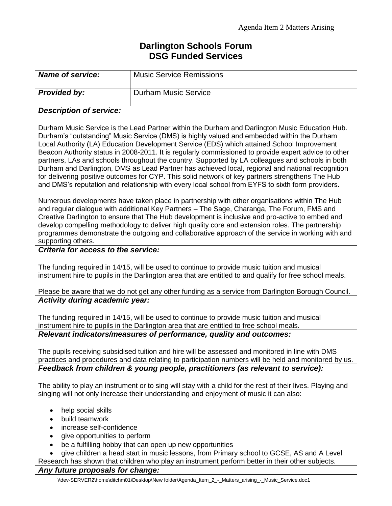## **Darlington Schools Forum DSG Funded Services**

| <b>Name of service:</b>                                                                                                                                                                                                                                                                                                                                                                                                                                                                                                                                                                                                                                                                                                                                                                                            | <b>Music Service Remissions</b>                                                                                                                                                                           |
|--------------------------------------------------------------------------------------------------------------------------------------------------------------------------------------------------------------------------------------------------------------------------------------------------------------------------------------------------------------------------------------------------------------------------------------------------------------------------------------------------------------------------------------------------------------------------------------------------------------------------------------------------------------------------------------------------------------------------------------------------------------------------------------------------------------------|-----------------------------------------------------------------------------------------------------------------------------------------------------------------------------------------------------------|
| <b>Provided by:</b>                                                                                                                                                                                                                                                                                                                                                                                                                                                                                                                                                                                                                                                                                                                                                                                                | <b>Durham Music Service</b>                                                                                                                                                                               |
| <b>Description of service:</b>                                                                                                                                                                                                                                                                                                                                                                                                                                                                                                                                                                                                                                                                                                                                                                                     |                                                                                                                                                                                                           |
| Durham Music Service is the Lead Partner within the Durham and Darlington Music Education Hub.<br>Durham's "outstanding" Music Service (DMS) is highly valued and embedded within the Durham<br>Local Authority (LA) Education Development Service (EDS) which attained School Improvement<br>Beacon Authority status in 2008-2011. It is regularly commissioned to provide expert advice to other<br>partners, LAs and schools throughout the country. Supported by LA colleagues and schools in both<br>Durham and Darlington, DMS as Lead Partner has achieved local, regional and national recognition<br>for delivering positive outcomes for CYP. This solid network of key partners strengthens The Hub<br>and DMS's reputation and relationship with every local school from EYFS to sixth form providers. |                                                                                                                                                                                                           |
| Numerous developments have taken place in partnership with other organisations within The Hub<br>and regular dialogue with additional Key Partners - The Sage, Charanga, The Forum, FMS and<br>Creative Darlington to ensure that The Hub development is inclusive and pro-active to embed and<br>develop compelling methodology to deliver high quality core and extension roles. The partnership<br>programmes demonstrate the outgoing and collaborative approach of the service in working with and<br>supporting others.                                                                                                                                                                                                                                                                                      |                                                                                                                                                                                                           |
| Criteria for access to the service:                                                                                                                                                                                                                                                                                                                                                                                                                                                                                                                                                                                                                                                                                                                                                                                |                                                                                                                                                                                                           |
| The funding required in 14/15, will be used to continue to provide music tuition and musical<br>instrument hire to pupils in the Darlington area that are entitled to and qualify for free school meals.                                                                                                                                                                                                                                                                                                                                                                                                                                                                                                                                                                                                           |                                                                                                                                                                                                           |
| Please be aware that we do not get any other funding as a service from Darlington Borough Council.                                                                                                                                                                                                                                                                                                                                                                                                                                                                                                                                                                                                                                                                                                                 |                                                                                                                                                                                                           |
| <b>Activity during academic year:</b>                                                                                                                                                                                                                                                                                                                                                                                                                                                                                                                                                                                                                                                                                                                                                                              |                                                                                                                                                                                                           |
| The funding required in 14/15, will be used to continue to provide music tuition and musical<br>instrument hire to pupils in the Darlington area that are entitled to free school meals.                                                                                                                                                                                                                                                                                                                                                                                                                                                                                                                                                                                                                           |                                                                                                                                                                                                           |
| Relevant indicators/measures of performance, quality and outcomes:                                                                                                                                                                                                                                                                                                                                                                                                                                                                                                                                                                                                                                                                                                                                                 |                                                                                                                                                                                                           |
|                                                                                                                                                                                                                                                                                                                                                                                                                                                                                                                                                                                                                                                                                                                                                                                                                    | The pupils receiving subsidised tuition and hire will be assessed and monitored in line with DMS<br>practices and procedures and data relating to participation numbers will be held and monitored by us. |
| Feedback from children & young people, practitioners (as relevant to service):                                                                                                                                                                                                                                                                                                                                                                                                                                                                                                                                                                                                                                                                                                                                     |                                                                                                                                                                                                           |
| The ability to play an instrument or to sing will stay with a child for the rest of their lives. Playing and<br>singing will not only increase their understanding and enjoyment of music it can also:                                                                                                                                                                                                                                                                                                                                                                                                                                                                                                                                                                                                             |                                                                                                                                                                                                           |
| help social skills<br>build teamwork<br>increase self-confidence<br>give opportunities to perform<br>be a fulfilling hobby that can open up new opportunities<br>give children a head start in music lessons, from Primary school to GCSE, AS and A Level<br>Research has shown that children who play an instrument perform better in their other subjects.<br>Any future proposals for change:                                                                                                                                                                                                                                                                                                                                                                                                                   |                                                                                                                                                                                                           |